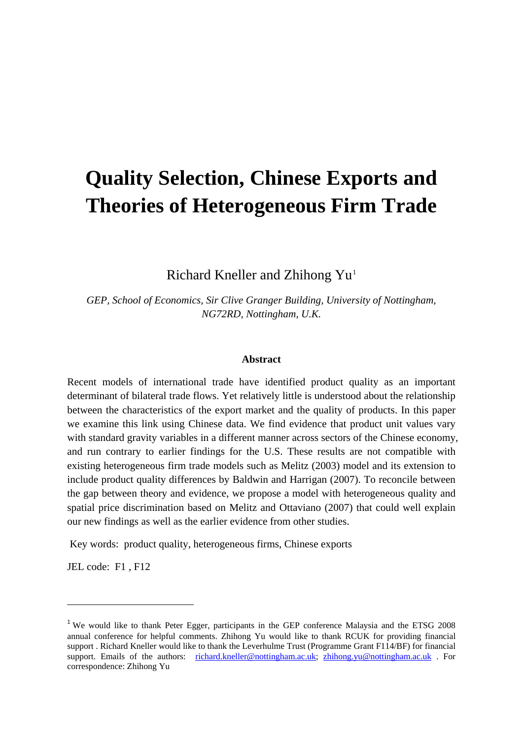# **Quality Selection, Chinese Exports and Theories of Heterogeneous Firm Trade**

Richard Kneller and Zhihong Yu<sup>[1](#page-0-0)</sup>

*GEP, School of Economics, Sir Clive Granger Building, University of Nottingham, NG72RD, Nottingham, U.K.* 

#### **Abstract**

Recent models of international trade have identified product quality as an important determinant of bilateral trade flows. Yet relatively little is understood about the relationship between the characteristics of the export market and the quality of products. In this paper we examine this link using Chinese data. We find evidence that product unit values vary with standard gravity variables in a different manner across sectors of the Chinese economy, and run contrary to earlier findings for the U.S. These results are not compatible with existing heterogeneous firm trade models such as Melitz (2003) model and its extension to include product quality differences by Baldwin and Harrigan (2007). To reconcile between the gap between theory and evidence, we propose a model with heterogeneous quality and spatial price discrimination based on Melitz and Ottaviano (2007) that could well explain our new findings as well as the earlier evidence from other studies.

Key words: product quality, heterogeneous firms, Chinese exports

JEL code: F1 , F12

 $\equiv$ 

<span id="page-0-0"></span><sup>&</sup>lt;sup>1</sup> We would like to thank Peter Egger, participants in the GEP conference Malaysia and the ETSG 2008 annual conference for helpful comments. Zhihong Yu would like to thank RCUK for providing financial support . Richard Kneller would like to thank the Leverhulme Trust (Programme Grant F114/BF) for financial support. Emails of the authors: [richard.kneller@nottingham.ac.uk;](mailto:richard.kneller@nottingham.ac.uk) [zhihong.yu@nottingham.ac.uk](mailto:zhihong.yu@nottingham.ac.uk) . For correspondence: Zhihong Yu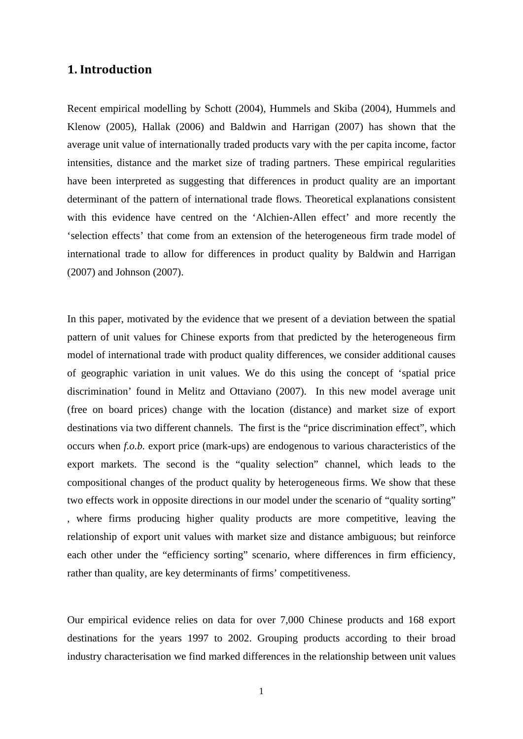## **1. Introduction**

Recent empirical modelling by Schott (2004), Hummels and Skiba (2004), Hummels and Klenow (2005), Hallak (2006) and Baldwin and Harrigan (2007) has shown that the average unit value of internationally traded products vary with the per capita income, factor intensities, distance and the market size of trading partners. These empirical regularities have been interpreted as suggesting that differences in product quality are an important determinant of the pattern of international trade flows. Theoretical explanations consistent with this evidence have centred on the 'Alchien-Allen effect' and more recently the 'selection effects' that come from an extension of the heterogeneous firm trade model of international trade to allow for differences in product quality by Baldwin and Harrigan (2007) and Johnson (2007).

In this paper, motivated by the evidence that we present of a deviation between the spatial pattern of unit values for Chinese exports from that predicted by the heterogeneous firm model of international trade with product quality differences, we consider additional causes of geographic variation in unit values. We do this using the concept of 'spatial price discrimination' found in Melitz and Ottaviano (2007). In this new model average unit (free on board prices) change with the location (distance) and market size of export destinations via two different channels. The first is the "price discrimination effect", which occurs when *f.o.b.* export price (mark-ups) are endogenous to various characteristics of the export markets. The second is the "quality selection" channel, which leads to the compositional changes of the product quality by heterogeneous firms. We show that these two effects work in opposite directions in our model under the scenario of "quality sorting" , where firms producing higher quality products are more competitive, leaving the relationship of export unit values with market size and distance ambiguous; but reinforce each other under the "efficiency sorting" scenario, where differences in firm efficiency, rather than quality, are key determinants of firms' competitiveness.

Our empirical evidence relies on data for over 7,000 Chinese products and 168 export destinations for the years 1997 to 2002. Grouping products according to their broad industry characterisation we find marked differences in the relationship between unit values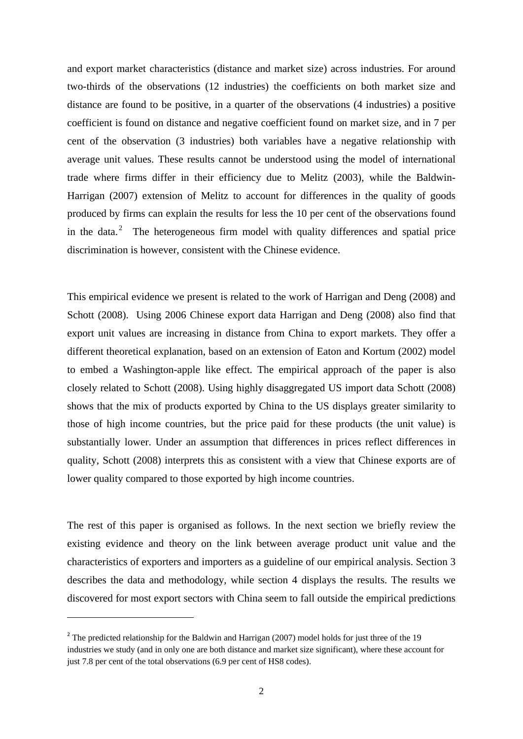and export market characteristics (distance and market size) across industries. For around two-thirds of the observations (12 industries) the coefficients on both market size and distance are found to be positive, in a quarter of the observations (4 industries) a positive coefficient is found on distance and negative coefficient found on market size, and in 7 per cent of the observation (3 industries) both variables have a negative relationship with average unit values. These results cannot be understood using the model of international trade where firms differ in their efficiency due to Melitz (2003), while the Baldwin-Harrigan (2007) extension of Melitz to account for differences in the quality of goods produced by firms can explain the results for less the 10 per cent of the observations found in the data. $2$  The heterogeneous firm model with quality differences and spatial price discrimination is however, consistent with the Chinese evidence.

This empirical evidence we present is related to the work of Harrigan and Deng (2008) and Schott (2008). Using 2006 Chinese export data Harrigan and Deng (2008) also find that export unit values are increasing in distance from China to export markets. They offer a different theoretical explanation, based on an extension of Eaton and Kortum (2002) model to embed a Washington-apple like effect. The empirical approach of the paper is also closely related to Schott (2008). Using highly disaggregated US import data Schott (2008) shows that the mix of products exported by China to the US displays greater similarity to those of high income countries, but the price paid for these products (the unit value) is substantially lower. Under an assumption that differences in prices reflect differences in quality, Schott (2008) interprets this as consistent with a view that Chinese exports are of lower quality compared to those exported by high income countries.

The rest of this paper is organised as follows. In the next section we briefly review the existing evidence and theory on the link between average product unit value and the characteristics of exporters and importers as a guideline of our empirical analysis. Section 3 describes the data and methodology, while section 4 displays the results. The results we discovered for most export sectors with China seem to fall outside the empirical predictions

 $\equiv$ 

<span id="page-2-0"></span><sup>&</sup>lt;sup>2</sup> The predicted relationship for the Baldwin and Harrigan (2007) model holds for just three of the 19 industries we study (and in only one are both distance and market size significant), where these account for just 7.8 per cent of the total observations (6.9 per cent of HS8 codes).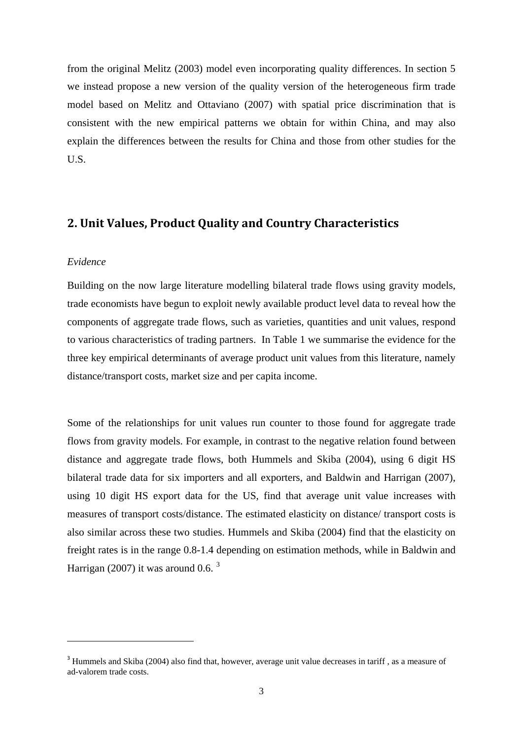from the original Melitz (2003) model even incorporating quality differences. In section 5 we instead propose a new version of the quality version of the heterogeneous firm trade model based on Melitz and Ottaviano (2007) with spatial price discrimination that is consistent with the new empirical patterns we obtain for within China, and may also explain the differences between the results for China and those from other studies for the U.S.

### **2. Unit Values, Product Quality and Country Characteristics**

#### *Evidence*

-

Building on the now large literature modelling bilateral trade flows using gravity models, trade economists have begun to exploit newly available product level data to reveal how the components of aggregate trade flows, such as varieties, quantities and unit values, respond to various characteristics of trading partners. In Table 1 we summarise the evidence for the three key empirical determinants of average product unit values from this literature, namely distance/transport costs, market size and per capita income.

Some of the relationships for unit values run counter to those found for aggregate trade flows from gravity models. For example, in contrast to the negative relation found between distance and aggregate trade flows, both Hummels and Skiba (2004), using 6 digit HS bilateral trade data for six importers and all exporters, and Baldwin and Harrigan (2007), using 10 digit HS export data for the US, find that average unit value increases with measures of transport costs/distance. The estimated elasticity on distance/ transport costs is also similar across these two studies. Hummels and Skiba (2004) find that the elasticity on freight rates is in the range 0.8-1.4 depending on estimation methods, while in Baldwin and Harrigan (2007) it was around 0.6.  $3$ 

<span id="page-3-0"></span><sup>&</sup>lt;sup>3</sup> Hummels and Skiba (2004) also find that, however, average unit value decreases in tariff, as a measure of ad-valorem trade costs.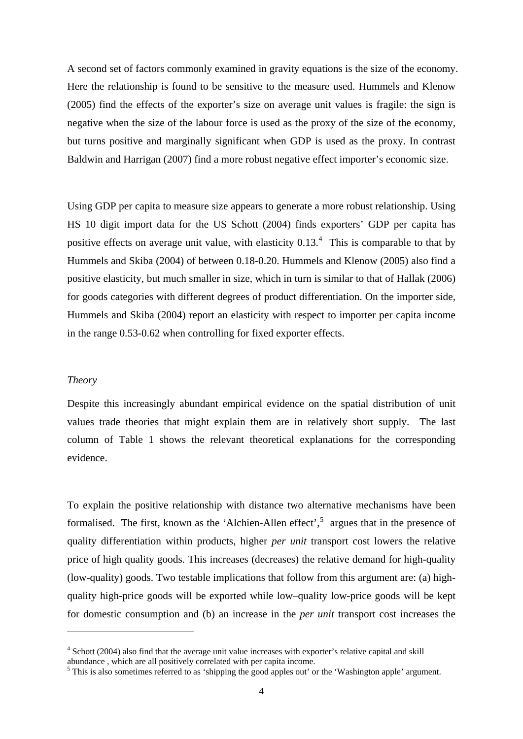A second set of factors commonly examined in gravity equations is the size of the economy. Here the relationship is found to be sensitive to the measure used. Hummels and Klenow (2005) find the effects of the exporter's size on average unit values is fragile: the sign is negative when the size of the labour force is used as the proxy of the size of the economy, but turns positive and marginally significant when GDP is used as the proxy. In contrast Baldwin and Harrigan (2007) find a more robust negative effect importer's economic size.

Using GDP per capita to measure size appears to generate a more robust relationship. Using HS 10 digit import data for the US Schott (2004) finds exporters' GDP per capita has positive effects on average unit value, with elasticity  $0.13<sup>4</sup>$  $0.13<sup>4</sup>$  $0.13<sup>4</sup>$ . This is comparable to that by Hummels and Skiba (2004) of between 0.18-0.20. Hummels and Klenow (2005) also find a positive elasticity, but much smaller in size, which in turn is similar to that of Hallak (2006) for goods categories with different degrees of product differentiation. On the importer side, Hummels and Skiba (2004) report an elasticity with respect to importer per capita income in the range 0.53-0.62 when controlling for fixed exporter effects.

#### *Theory*

÷,

Despite this increasingly abundant empirical evidence on the spatial distribution of unit values trade theories that might explain them are in relatively short supply. The last column of Table 1 shows the relevant theoretical explanations for the corresponding evidence.

To explain the positive relationship with distance two alternative mechanisms have been formalised. The first, known as the 'Alchien-Allen effect',<sup>[5](#page-4-1)</sup> argues that in the presence of quality differentiation within products, higher *per unit* transport cost lowers the relative price of high quality goods. This increases (decreases) the relative demand for high-quality (low-quality) goods. Two testable implications that follow from this argument are: (a) highquality high-price goods will be exported while low–quality low-price goods will be kept for domestic consumption and (b) an increase in the *per unit* transport cost increases the

<span id="page-4-0"></span><sup>&</sup>lt;sup>4</sup> Schott (2004) also find that the average unit value increases with exporter's relative capital and skill abundance , which are all positively correlated with per capita income.

<span id="page-4-1"></span><sup>&</sup>lt;sup>5</sup> This is also sometimes referred to as 'shipping the good apples out' or the 'Washington apple' argument.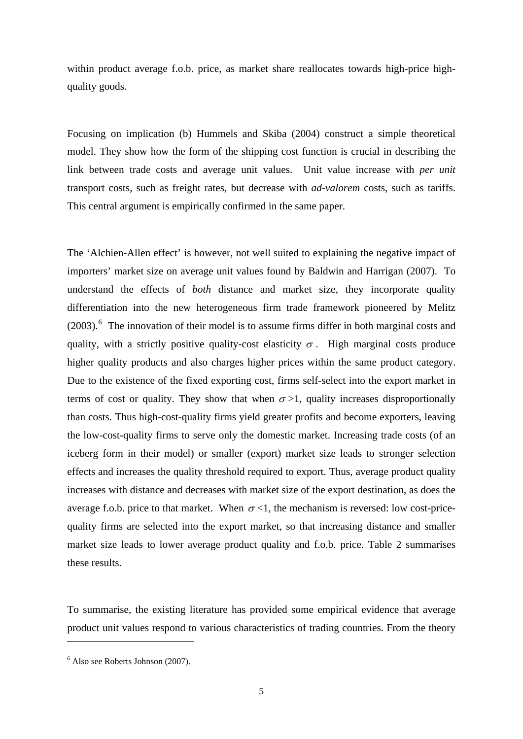within product average f.o.b. price, as market share reallocates towards high-price highquality goods.

Focusing on implication (b) Hummels and Skiba (2004) construct a simple theoretical model. They show how the form of the shipping cost function is crucial in describing the link between trade costs and average unit values. Unit value increase with *per unit* transport costs, such as freight rates, but decrease with *ad-valorem* costs, such as tariffs. This central argument is empirically confirmed in the same paper.

The 'Alchien-Allen effect' is however, not well suited to explaining the negative impact of importers' market size on average unit values found by Baldwin and Harrigan (2007). To understand the effects of *both* distance and market size, they incorporate quality differentiation into the new heterogeneous firm trade framework pioneered by Melitz (2003).<sup>[6](#page-5-0)</sup> The innovation of their model is to assume firms differ in both marginal costs and quality, with a strictly positive quality-cost elasticity  $\sigma$ . High marginal costs produce higher quality products and also charges higher prices within the same product category. Due to the existence of the fixed exporting cost, firms self-select into the export market in terms of cost or quality. They show that when  $\sigma > 1$ , quality increases disproportionally than costs. Thus high-cost-quality firms yield greater profits and become exporters, leaving the low-cost-quality firms to serve only the domestic market. Increasing trade costs (of an iceberg form in their model) or smaller (export) market size leads to stronger selection effects and increases the quality threshold required to export. Thus, average product quality increases with distance and decreases with market size of the export destination, as does the average f.o.b. price to that market. When  $\sigma$ <1, the mechanism is reversed: low cost-pricequality firms are selected into the export market, so that increasing distance and smaller market size leads to lower average product quality and f.o.b. price. Table 2 summarises these results.

To summarise, the existing literature has provided some empirical evidence that average product unit values respond to various characteristics of trading countries. From the theory

 $\equiv$ 

<span id="page-5-0"></span><sup>6</sup> Also see Roberts Johnson (2007).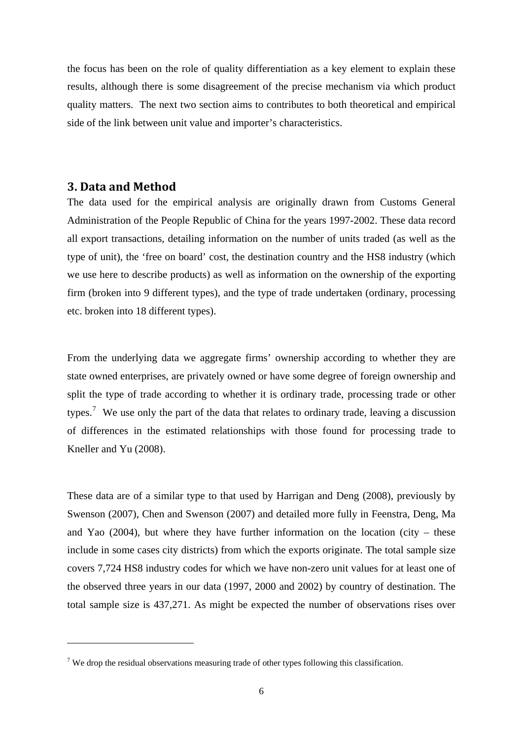the focus has been on the role of quality differentiation as a key element to explain these results, although there is some disagreement of the precise mechanism via which product quality matters. The next two section aims to contributes to both theoretical and empirical side of the link between unit value and importer's characteristics.

#### **3. Data and Method**

 $\equiv$ 

The data used for the empirical analysis are originally drawn from Customs General Administration of the People Republic of China for the years 1997-2002. These data record all export transactions, detailing information on the number of units traded (as well as the type of unit), the 'free on board' cost, the destination country and the HS8 industry (which we use here to describe products) as well as information on the ownership of the exporting firm (broken into 9 different types), and the type of trade undertaken (ordinary, processing etc. broken into 18 different types).

From the underlying data we aggregate firms' ownership according to whether they are state owned enterprises, are privately owned or have some degree of foreign ownership and split the type of trade according to whether it is ordinary trade, processing trade or other types.<sup>[7](#page-6-0)</sup> We use only the part of the data that relates to ordinary trade, leaving a discussion of differences in the estimated relationships with those found for processing trade to Kneller and Yu (2008).

These data are of a similar type to that used by Harrigan and Deng (2008), previously by Swenson (2007), Chen and Swenson (2007) and detailed more fully in Feenstra, Deng, Ma and Yao  $(2004)$ , but where they have further information on the location  $\text{(city - these)}$ include in some cases city districts) from which the exports originate. The total sample size covers 7,724 HS8 industry codes for which we have non-zero unit values for at least one of the observed three years in our data (1997, 2000 and 2002) by country of destination. The total sample size is 437,271. As might be expected the number of observations rises over

<span id="page-6-0"></span><sup>&</sup>lt;sup>7</sup> We drop the residual observations measuring trade of other types following this classification.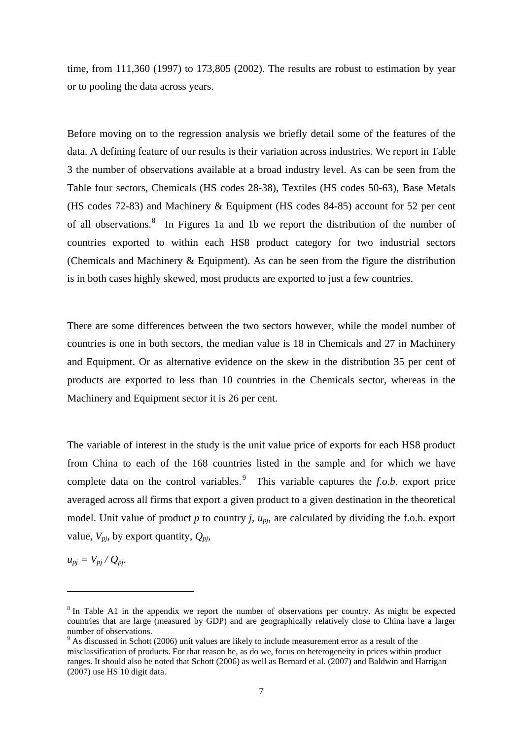time, from 111,360 (1997) to 173,805 (2002). The results are robust to estimation by year or to pooling the data across years.

Before moving on to the regression analysis we briefly detail some of the features of the data. A defining feature of our results is their variation across industries. We report in Table 3 the number of observations available at a broad industry level. As can be seen from the Table four sectors, Chemicals (HS codes 28-38), Textiles (HS codes 50-63), Base Metals (HS codes 72-83) and Machinery & Equipment (HS codes 84-85) account for 52 per cent of all observations.<sup>[8](#page-7-0)</sup> In Figures 1a and 1b we report the distribution of the number of countries exported to within each HS8 product category for two industrial sectors (Chemicals and Machinery & Equipment). As can be seen from the figure the distribution is in both cases highly skewed, most products are exported to just a few countries.

There are some differences between the two sectors however, while the model number of countries is one in both sectors, the median value is 18 in Chemicals and 27 in Machinery and Equipment. Or as alternative evidence on the skew in the distribution 35 per cent of products are exported to less than 10 countries in the Chemicals sector, whereas in the Machinery and Equipment sector it is 26 per cent.

The variable of interest in the study is the unit value price of exports for each HS8 product from China to each of the 168 countries listed in the sample and for which we have complete data on the control variables.<sup>[9](#page-7-1)</sup> This variable captures the  $f.o.b.$  export price averaged across all firms that export a given product to a given destination in the theoretical model. Unit value of product  $p$  to country  $j$ ,  $u_{pj}$ , are calculated by dividing the f.o.b. export value,  $V_{pi}$ , by export quantity,  $Q_{pi}$ ,

 $u_{pi} = V_{pi} / Q_{pi}.$ 

 $\equiv$ 

<span id="page-7-0"></span> $8$  In Table A1 in the appendix we report the number of observations per country. As might be expected countries that are large (measured by GDP) and are geographically relatively close to China have a larger number of observations.

<span id="page-7-1"></span><sup>&</sup>lt;sup>9</sup> As discussed in Schott (2006) unit values are likely to include measurement error as a result of the misclassification of products. For that reason he, as do we, focus on heterogeneity in prices within product ranges. It should also be noted that Schott (2006) as well as Bernard et al. (2007) and Baldwin and Harrigan (2007) use HS 10 digit data.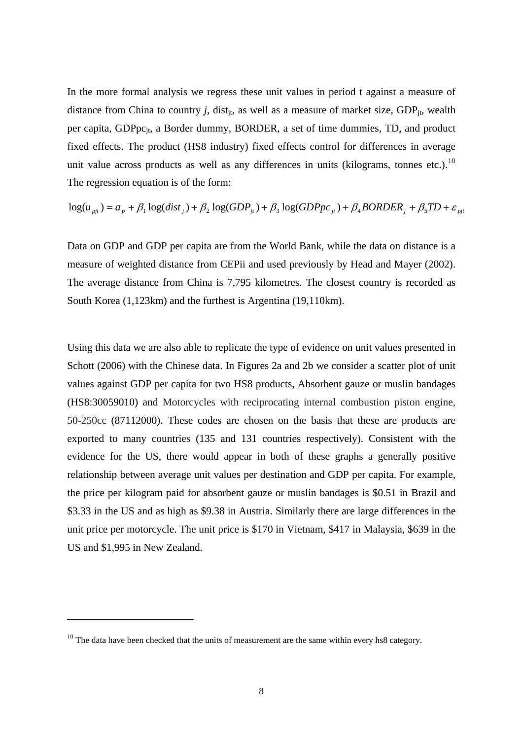In the more formal analysis we regress these unit values in period t against a measure of distance from China to country *j*, dist<sub>it</sub>, as well as a measure of market size, GDP<sub>it</sub>, wealth per capita, GDPpc<sub>it</sub>, a Border dummy, BORDER, a set of time dummies, TD, and product fixed effects. The product (HS8 industry) fixed effects control for differences in average unit value across products as well as any differences in units (kilograms, tonnes etc.).<sup>[10](#page-8-0)</sup> The regression equation is of the form:

$$
\log(u_{pi}) = a_p + \beta_1 \log(dist_j) + \beta_2 \log(GDP_{jt}) + \beta_3 \log(GDPpc_{jt}) + \beta_4 BORDER_j + \beta_5 TD + \varepsilon_{pi}
$$

Data on GDP and GDP per capita are from the World Bank, while the data on distance is a measure of weighted distance from CEPii and used previously by Head and Mayer (2002). The average distance from China is 7,795 kilometres. The closest country is recorded as South Korea (1,123km) and the furthest is Argentina (19,110km).

Using this data we are also able to replicate the type of evidence on unit values presented in Schott (2006) with the Chinese data. In Figures 2a and 2b we consider a scatter plot of unit values against GDP per capita for two HS8 products, Absorbent gauze or muslin bandages (HS8:30059010) and Motorcycles with reciprocating internal combustion piston engine, 50-250cc (87112000). These codes are chosen on the basis that these are products are exported to many countries (135 and 131 countries respectively). Consistent with the evidence for the US, there would appear in both of these graphs a generally positive relationship between average unit values per destination and GDP per capita. For example, the price per kilogram paid for absorbent gauze or muslin bandages is \$0.51 in Brazil and \$3.33 in the US and as high as \$9.38 in Austria. Similarly there are large differences in the unit price per motorcycle. The unit price is \$170 in Vietnam, \$417 in Malaysia, \$639 in the US and \$1,995 in New Zealand.

-

<span id="page-8-0"></span> $10$  The data have been checked that the units of measurement are the same within every hs8 category.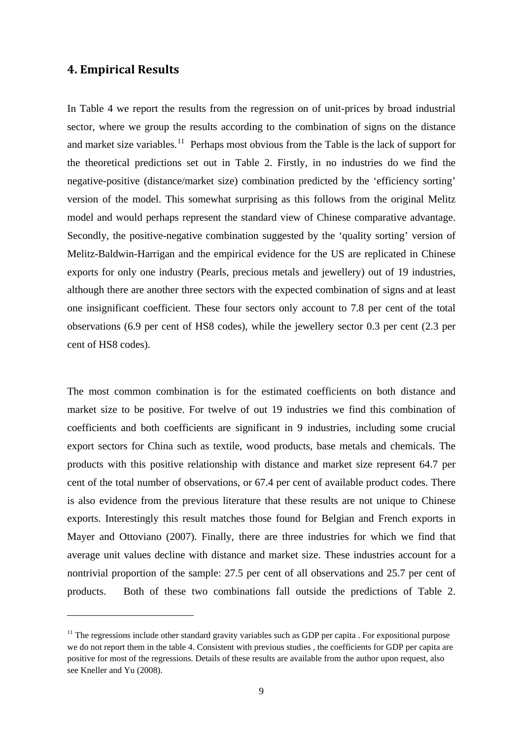#### **4. Empirical Results**

÷,

In Table 4 we report the results from the regression on of unit-prices by broad industrial sector, where we group the results according to the combination of signs on the distance and market size variables.<sup>[11](#page-9-0)</sup> Perhaps most obvious from the Table is the lack of support for the theoretical predictions set out in Table 2. Firstly, in no industries do we find the negative-positive (distance/market size) combination predicted by the 'efficiency sorting' version of the model. This somewhat surprising as this follows from the original Melitz model and would perhaps represent the standard view of Chinese comparative advantage. Secondly, the positive-negative combination suggested by the 'quality sorting' version of Melitz-Baldwin-Harrigan and the empirical evidence for the US are replicated in Chinese exports for only one industry (Pearls, precious metals and jewellery) out of 19 industries, although there are another three sectors with the expected combination of signs and at least one insignificant coefficient. These four sectors only account to 7.8 per cent of the total observations (6.9 per cent of HS8 codes), while the jewellery sector 0.3 per cent (2.3 per cent of HS8 codes).

The most common combination is for the estimated coefficients on both distance and market size to be positive. For twelve of out 19 industries we find this combination of coefficients and both coefficients are significant in 9 industries, including some crucial export sectors for China such as textile, wood products, base metals and chemicals. The products with this positive relationship with distance and market size represent 64.7 per cent of the total number of observations, or 67.4 per cent of available product codes. There is also evidence from the previous literature that these results are not unique to Chinese exports. Interestingly this result matches those found for Belgian and French exports in Mayer and Ottoviano (2007). Finally, there are three industries for which we find that average unit values decline with distance and market size. These industries account for a nontrivial proportion of the sample: 27.5 per cent of all observations and 25.7 per cent of products. Both of these two combinations fall outside the predictions of Table 2.

<span id="page-9-0"></span> $11$  The regressions include other standard gravity variables such as GDP per capita . For expositional purpose we do not report them in the table 4. Consistent with previous studies , the coefficients for GDP per capita are positive for most of the regressions. Details of these results are available from the author upon request, also see Kneller and Yu (2008).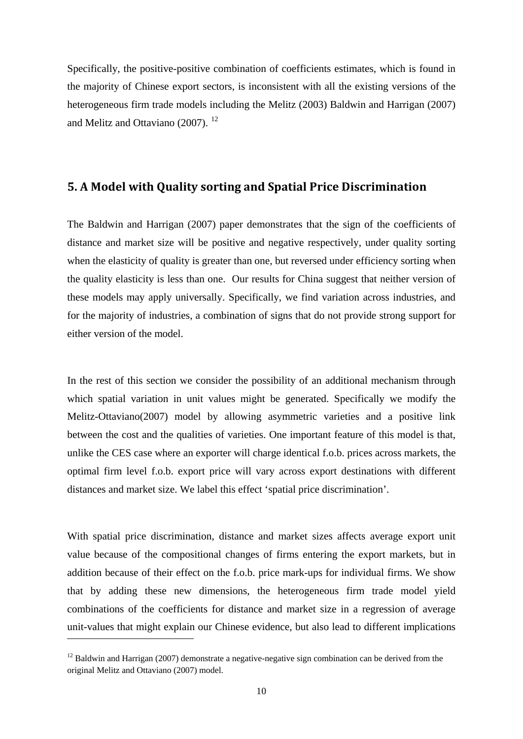Specifically, the positive-positive combination of coefficients estimates, which is found in the majority of Chinese export sectors, is inconsistent with all the existing versions of the heterogeneous firm trade models including the Melitz (2003) Baldwin and Harrigan (2007) and Melitz and Ottaviano (2007). [12](#page-10-0)

#### **5. A Model with Quality sorting and Spatial Price Discrimination**

The Baldwin and Harrigan (2007) paper demonstrates that the sign of the coefficients of distance and market size will be positive and negative respectively, under quality sorting when the elasticity of quality is greater than one, but reversed under efficiency sorting when the quality elasticity is less than one. Our results for China suggest that neither version of these models may apply universally. Specifically, we find variation across industries, and for the majority of industries, a combination of signs that do not provide strong support for either version of the model.

In the rest of this section we consider the possibility of an additional mechanism through which spatial variation in unit values might be generated. Specifically we modify the Melitz-Ottaviano(2007) model by allowing asymmetric varieties and a positive link between the cost and the qualities of varieties. One important feature of this model is that, unlike the CES case where an exporter will charge identical f.o.b. prices across markets, the optimal firm level f.o.b. export price will vary across export destinations with different distances and market size. We label this effect 'spatial price discrimination'.

With spatial price discrimination, distance and market sizes affects average export unit value because of the compositional changes of firms entering the export markets, but in addition because of their effect on the f.o.b. price mark-ups for individual firms. We show that by adding these new dimensions, the heterogeneous firm trade model yield combinations of the coefficients for distance and market size in a regression of average unit-values that might explain our Chinese evidence, but also lead to different implications

<span id="page-10-0"></span> $12$  Baldwin and Harrigan (2007) demonstrate a negative-negative sign combination can be derived from the original Melitz and Ottaviano (2007) model.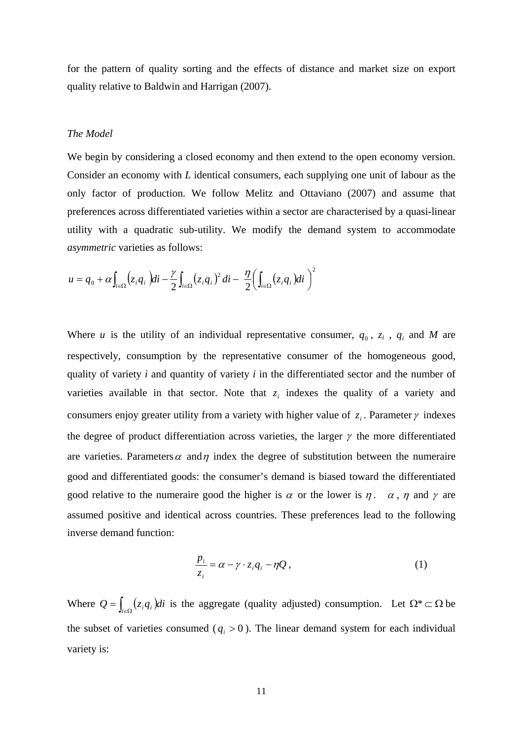for the pattern of quality sorting and the effects of distance and market size on export quality relative to Baldwin and Harrigan (2007).

#### *The Model*

We begin by considering a closed economy and then extend to the open economy version. Consider an economy with *L* identical consumers, each supplying one unit of labour as the only factor of production. We follow Melitz and Ottaviano (2007) and assume that preferences across differentiated varieties within a sector are characterised by a quasi-linear utility with a quadratic sub-utility. We modify the demand system to accommodate *asymmetric* varieties as follows:

$$
u = q_0 + \alpha \int_{i \in \Omega} \left( z_i q_i \right) di - \frac{\gamma}{2} \int_{i \in \Omega} \left( z_i q_i \right)^2 di - \frac{\eta}{2} \left( \int_{i \in \Omega} \left( z_i q_i \right) di \right)^2
$$

Where *u* is the utility of an individual representative consumer,  $q_0$ ,  $z_i$ ,  $q_i$  and *M* are respectively, consumption by the representative consumer of the homogeneous good, quality of variety *i* and quantity of variety *i* in the differentiated sector and the number of varieties available in that sector. Note that  $z_i$  indexes the quality of a variety and consumers enjoy greater utility from a variety with higher value of  $z_i$ . Parameter  $\gamma$  indexes the degree of product differentiation across varieties, the larger  $\gamma$  the more differentiated are varieties. Parameters  $\alpha$  and  $\eta$  index the degree of substitution between the numeraire good and differentiated goods: the consumer's demand is biased toward the differentiated good relative to the numeraire good the higher is  $\alpha$  or the lower is  $\eta$ .  $\alpha$ ,  $\eta$  and  $\gamma$  are assumed positive and identical across countries. These preferences lead to the following inverse demand function:

$$
\frac{p_i}{z_i} = \alpha - \gamma \cdot z_i q_i - \eta Q \,, \tag{1}
$$

Where  $Q = \int_{i \in \Omega} (z_i q_i) di$  is the aggregate (quality adjusted) consumption. Let  $\Omega^* \subset \Omega$  be the subset of varieties consumed ( $q_i > 0$ ). The linear demand system for each individual variety is: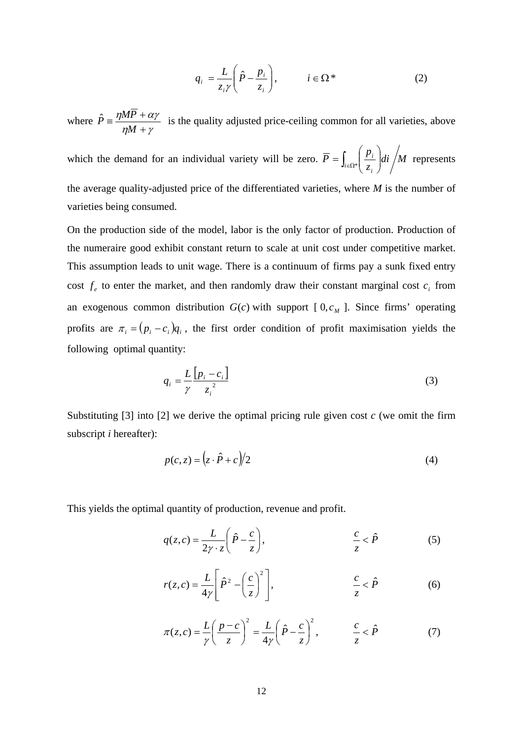$$
q_i = \frac{L}{z_i \gamma} \left( \hat{P} - \frac{p_i}{z_i} \right), \qquad i \in \Omega^* \tag{2}
$$

where  $\eta$ <sub>M</sub> +  $\gamma$  $\eta MP + \alpha \gamma$  $\hat{P} = \frac{\eta M \overline{P} + \alpha \gamma}{\eta M + \gamma}$  is the quality adjusted price-ceiling common for all varieties, above

which the demand for an individual variety will be zero.  $\overline{P} = \int_{\mathbb{R}^d} |\frac{P_i}{\partial t}| d\overline{t}$ *z*  $\overline{P} = \int_{i \in \Omega^*} \left( \frac{p}{z_i} \right)$  $\int_{i \in \Omega^*} \left| \frac{P_i}{Z} \right|$ ⎠ ⎞  $\overline{\phantom{a}}$  $=\int_{i\in\Omega^*}\left(\frac{p_i}{z_i}\right)di\bigg/M$  represents the average quality-adjusted price of the differentiated varieties, where *M* is the number of varieties being consumed.

On the production side of the model, labor is the only factor of production. Production of the numeraire good exhibit constant return to scale at unit cost under competitive market. This assumption leads to unit wage. There is a continuum of firms pay a sunk fixed entry cost  $f_e$  to enter the market, and then randomly draw their constant marginal cost  $c_i$  from an exogenous common distribution  $G(c)$  with support  $[0, c_M]$ . Since firms' operating profits are  $\pi_i = (p_i - c_i)q_i$ , the first order condition of profit maximisation yields the following optimal quantity:

$$
q_i = \frac{L}{\gamma} \frac{\left[p_i - c_i\right]}{z_i^2} \tag{3}
$$

Substituting [3] into [2] we derive the optimal pricing rule given cost *c* (we omit the firm subscript *i* hereafter):

$$
p(c, z) = (z \cdot \hat{P} + c)/2
$$
 (4)

This yields the optimal quantity of production, revenue and profit.

$$
q(z,c) = \frac{L}{2\gamma \cdot z} \left(\hat{P} - \frac{c}{z}\right), \qquad \frac{c}{z} < \hat{P} \qquad (5)
$$

$$
r(z,c) = \frac{L}{4\gamma} \left[ \hat{P}^2 - \left(\frac{c}{z}\right)^2 \right], \qquad \frac{c}{z} < \hat{P} \qquad (6)
$$

$$
\pi(z,c) = \frac{L}{\gamma} \left( \frac{p-c}{z} \right)^2 = \frac{L}{4\gamma} \left( \hat{P} - \frac{c}{z} \right)^2, \qquad \frac{c}{z} < \hat{P}
$$
 (7)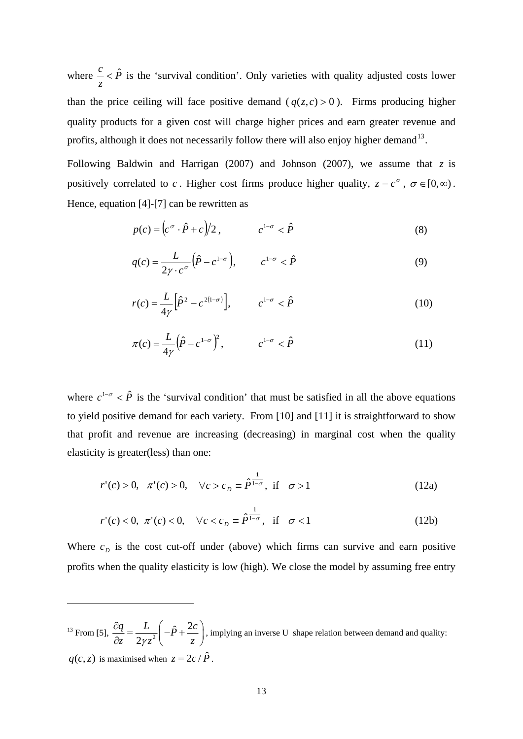where  $\frac{c}{-} < \hat{P}$ *z*  $c \leq \hat{P}$  is the 'survival condition'. Only varieties with quality adjusted costs lower than the price ceiling will face positive demand  $(q(z,c) > 0)$ . Firms producing higher quality products for a given cost will charge higher prices and earn greater revenue and profits, although it does not necessarily follow there will also enjoy higher demand<sup>[13](#page-13-0)</sup>.

Following Baldwin and Harrigan  $(2007)$  and Johnson  $(2007)$ , we assume that  $z$  is positively correlated to *c*. Higher cost firms produce higher quality,  $z = c^{\sigma}$ ,  $\sigma \in [0, \infty)$ . Hence, equation [4]-[7] can be rewritten as

$$
p(c) = \left(c^{\sigma} \cdot \hat{P} + c\right)/2, \qquad c^{1-\sigma} < \hat{P} \tag{8}
$$

$$
q(c) = \frac{L}{2\gamma \cdot c^{\sigma}} \left(\hat{P} - c^{1-\sigma}\right), \qquad c^{1-\sigma} < \hat{P} \tag{9}
$$

$$
r(c) = \frac{L}{4\gamma} \left[ \hat{P}^2 - c^{2(1-\sigma)} \right], \qquad c^{1-\sigma} < \hat{P} \tag{10}
$$

$$
\pi(c) = \frac{L}{4\gamma} \left(\hat{P} - c^{1-\sigma}\right)^2, \qquad c^{1-\sigma} < \hat{P} \tag{11}
$$

where  $c^{1-\sigma} < \hat{P}$  is the 'survival condition' that must be satisfied in all the above equations to yield positive demand for each variety. From [10] and [11] it is straightforward to show that profit and revenue are increasing (decreasing) in marginal cost when the quality elasticity is greater(less) than one:

$$
r'(c) > 0
$$
,  $\pi'(c) > 0$ ,  $\forall c > c_D \equiv \hat{P}^{\frac{1}{1-\sigma}}$ , if  $\sigma > 1$  (12a)

$$
r'(c) < 0, \ \pi'(c) < 0, \quad \forall c < c_D = \hat{P}^{\frac{1}{1-\sigma}}, \text{ if } \sigma < 1
$$
 (12b)

Where  $c<sub>D</sub>$  is the cost cut-off under (above) which firms can survive and earn positive profits when the quality elasticity is low (high). We close the model by assuming free entry

-

<span id="page-13-0"></span><sup>&</sup>lt;sup>13</sup> From [5],  $\frac{\partial q}{\partial z} = \frac{L}{2\pi z^2} \left( -\hat{P} + \frac{2}{z^2} \right)$ 2  $\frac{q}{p} = \frac{L}{2\pi r^2} \left( -\hat{P} + \frac{2c}{r^2} \right)$  $\frac{\partial q}{\partial z} = \frac{L}{2\gamma z^2} \left( -\hat{P} + \frac{2c}{z} \right)$ , implying an inverse U shape relation between demand and quality:  $q(c, z)$  is maximised when  $z = 2c / \hat{P}$ .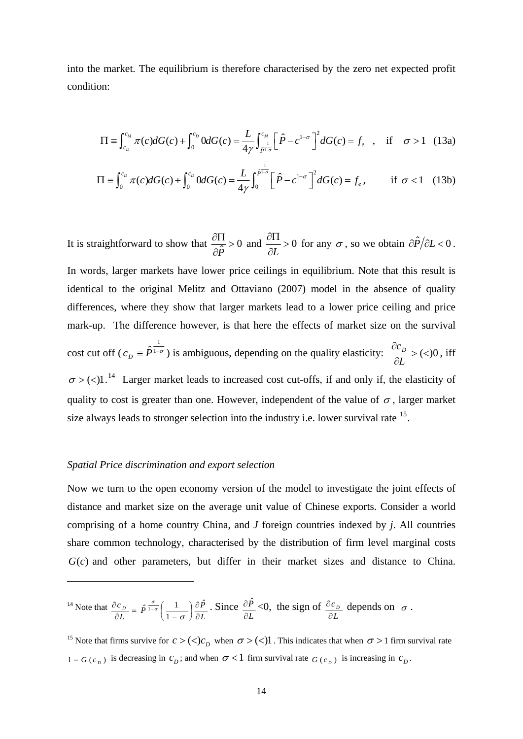into the market. The equilibrium is therefore characterised by the zero net expected profit condition:

$$
\Pi = \int_{c_D}^{c_M} \pi(c) dG(c) + \int_0^{c_D} 0 dG(c) = \frac{L}{4\gamma} \int_{\hat{p}l - \sigma}^{c_M} \left[ \hat{P} - c^{1 - \sigma} \right]^2 dG(c) = f_e \quad , \quad \text{if} \quad \sigma > 1 \quad (13a)
$$

$$
\Pi = \int_0^{c_D} \pi(c) dG(c) + \int_0^{c_D} 0 dG(c) = \frac{L}{4\gamma} \int_0^{\frac{1}{\beta - \sigma}} \left[ \hat{P} - c^{1 - \sigma} \right]^2 dG(c) = f_e, \quad \text{if } \sigma < 1 \quad (13b)
$$

It is straightforward to show that  $\frac{\partial \mathbf{P}}{\partial \hat{P}} > 0$  $\frac{\partial\Pi}{\partial x}$ ∂ and  $\frac{\partial H}{\partial x} > 0$ *L*  $\frac{\partial \Pi}{\partial L}$  > 0 for any  $\sigma$ , so we obtain  $\frac{\partial \hat{P}}{\partial L}$  < 0. In words, larger markets have lower price ceilings in equilibrium. Note that this result is identical to the original Melitz and Ottaviano (2007) model in the absence of quality differences, where they show that larger markets lead to a lower price ceiling and price mark-up. The difference however, is that here the effects of market size on the survival cost cut off ( $c_p \equiv \hat{P}^{1-\sigma}$ 1  $c_D = \hat{P}^{\frac{1}{1-\sigma}}$ ) is ambiguous, depending on the quality elasticity:  $\frac{\partial c_D}{\partial L}$  > (<)0 *L*  $\frac{dc_D}{dz}$  > (<)0, iff  $\sigma$  > (<)1.<sup>[14](#page-14-0)</sup> Larger market leads to increased cost cut-offs, if and only if, the elasticity of quality to cost is greater than one. However, independent of the value of  $\sigma$ , larger market size always leads to stronger selection into the industry i.e. lower survival rate <sup>[15](#page-14-1)</sup>.

#### *Spatial Price discrimination and export selection*

 $\equiv$ 

Now we turn to the open economy version of the model to investigate the joint effects of distance and market size on the average unit value of Chinese exports. Consider a world comprising of a home country China, and *J* foreign countries indexed by *j*. All countries share common technology, characterised by the distribution of firm level marginal costs  $G(c)$  and other parameters, but differ in their market sizes and distance to China.

<span id="page-14-0"></span>
$$
^{14} \text{ Note that } \frac{\partial c_D}{\partial L} = \hat{P}^{\frac{\sigma}{1-\sigma}} \bigg( \frac{1}{1-\sigma} \bigg) \frac{\partial \hat{P}}{\partial L} \cdot \text{Since } \frac{\partial \hat{P}}{\partial L} < 0, \text{ the sign of } \frac{\partial c_D}{\partial L} \text{ depends on } \sigma \text{ .}
$$

<span id="page-14-1"></span><sup>&</sup>lt;sup>15</sup> Note that firms survive for  $c > \frac{c}{c_p}$  when  $\sigma > \frac{c}{1}$ . This indicates that when  $\sigma > 1$  firm survival rate  $1 - G(c_p)$  is decreasing in  $c_p$ ; and when  $\sigma < 1$  firm survival rate  $G(c_p)$  is increasing in  $c_p$ .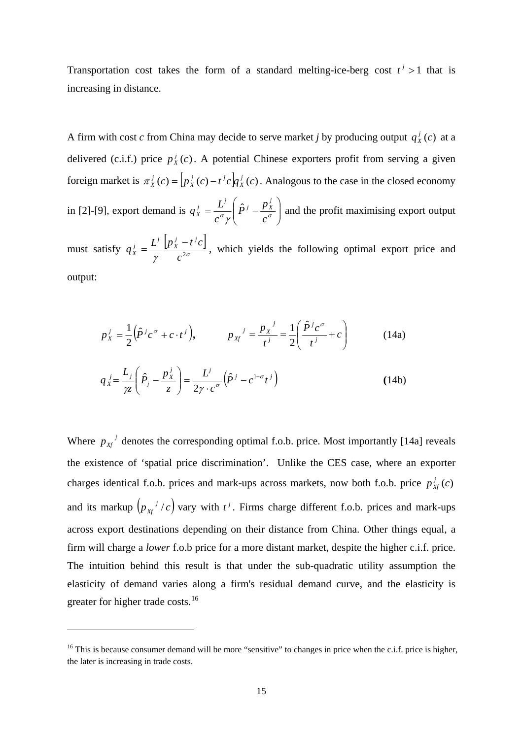Transportation cost takes the form of a standard melting-ice-berg cost  $t^j > 1$  that is increasing in distance.

A firm with cost *c* from China may decide to serve market *j* by producing output  $q_x^j(c)$  at a delivered (c.i.f.) price  $p_x^j(c)$ . A potential Chinese exporters profit from serving a given foreign market is  $\pi_X^j(c) = \left[ p_X^j(c) - t^j c \right] q_X^j(c)$ . Analogous to the case in the closed economy in [2]-[9], export demand is  $q_x^j = \frac{E}{c^{\sigma}x} \left[ \hat{P}^j - \frac{Px}{c^{\sigma}} \right]$ ⎠ ⎞  $\parallel$  $=\frac{L^j}{c^{\sigma}\gamma}\left(\hat{P}^j-\frac{p_{\overline{X}}^j}{c^{\sigma}}\right)$ *c*  $q_x^j = \frac{L}{a}$  $J'_X = \frac{L^j}{g} \left( \hat{P}^j - \frac{p_X^j}{g} \right)$  and the profit maximising export output must satisfy  $q_x^j = \frac{L^j}{2} \frac{\left[ p_x^j - t^j c \right]}{r^2}$  $c^{2\sigma}$  $p_{X}^{j} - t$ γ  $L^j | p^j_x - t^j c$ *X*  $\bar{j}$   $\bar{L}^j$  $q_x^j = \frac{L^j}{r} \left[ p_x^j - t^j c \right]$ , which yields the following optimal export price and

output:

-

$$
p_x^j = \frac{1}{2} (\hat{P}^j c^\sigma + c \cdot t^j), \qquad p_{xy}^j = \frac{p_x^j}{t^j} = \frac{1}{2} (\frac{\hat{P}^j c^\sigma}{t^j} + c)
$$
(14a)  

$$
q_x^j = \frac{L_j}{\gamma z} (\hat{P}_j - \frac{p_x^j}{z}) = \frac{L^j}{2\gamma \cdot c^\sigma} (\hat{P}^j - c^{1-\sigma} t^j)
$$
(14b)

Where  $p_{\chi_f}^{\ j}$  denotes the corresponding optimal f.o.b. price. Most importantly [14a] reveals the existence of 'spatial price discrimination'. Unlike the CES case, where an exporter charges identical f.o.b. prices and mark-ups across markets, now both f.o.b. price  $p_{\text{X}f}^{\text{j}}(c)$ and its markup  $(p_{\chi f}^j / c)$  vary with  $t^j$ . Firms charge different f.o.b. prices and mark-ups across export destinations depending on their distance from China. Other things equal, a firm will charge a *lower* f.o.b price for a more distant market, despite the higher c.i.f. price. The intuition behind this result is that under the sub-quadratic utility assumption the elasticity of demand varies along a firm's residual demand curve, and the elasticity is greater for higher trade costs.<sup>[16](#page-15-0)</sup>

<span id="page-15-0"></span><sup>&</sup>lt;sup>16</sup> This is because consumer demand will be more "sensitive" to changes in price when the c.i.f. price is higher, the later is increasing in trade costs.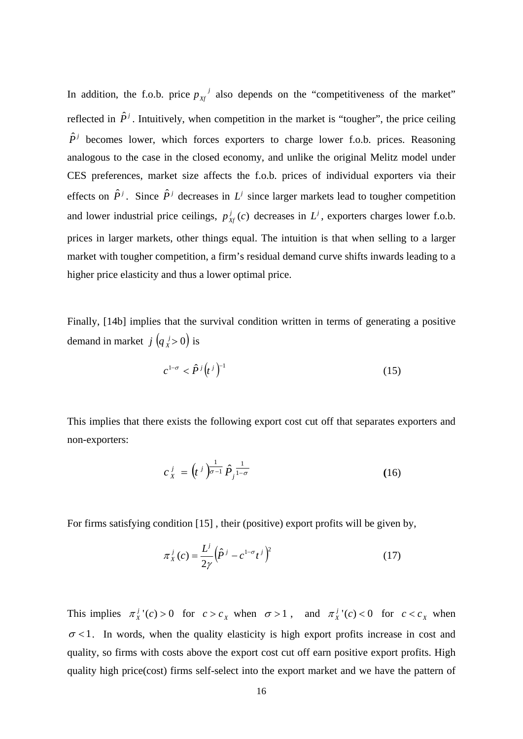In addition, the f.o.b. price  $p_{xf}$  also depends on the "competitiveness of the market" reflected in  $\hat{P}^j$ . Intuitively, when competition in the market is "tougher", the price ceiling  $\hat{P}$ <sup>*j*</sup> becomes lower, which forces exporters to charge lower f.o.b. prices. Reasoning analogous to the case in the closed economy, and unlike the original Melitz model under CES preferences, market size affects the f.o.b. prices of individual exporters via their effects on  $\hat{P}^j$ . Since  $\hat{P}^j$  decreases in  $L^j$  since larger markets lead to tougher competition and lower industrial price ceilings,  $p_{\text{Xf}}^j(c)$  decreases in  $L^j$ , exporters charges lower f.o.b. prices in larger markets, other things equal. The intuition is that when selling to a larger market with tougher competition, a firm's residual demand curve shifts inwards leading to a higher price elasticity and thus a lower optimal price.

Finally, [14b] implies that the survival condition written in terms of generating a positive demand in market *j*  $(q_x^j > 0)$  is

$$
c^{1-\sigma} < \hat{P}^j \left( t^j \right)^{-1} \tag{15}
$$

This implies that there exists the following export cost cut off that separates exporters and non-exporters:

$$
c_{X}^{j} = \left(t^{j}\right)^{\frac{1}{\sigma-1}} \hat{P}_{j}^{\frac{1}{1-\sigma}}
$$
 (16)

For firms satisfying condition [15] , their (positive) export profits will be given by,

$$
\pi_X^j(c) = \frac{L^j}{2\gamma} \left(\hat{P}^j - c^{1-\sigma} t^j\right)^2 \tag{17}
$$

This implies  $\pi_X^{j'}(c) > 0$  for  $c > c_X$  when  $\sigma > 1$ , and  $\pi_X^{j'}(c) < 0$  for  $c < c_X$  when  $\sigma$ <1. In words, when the quality elasticity is high export profits increase in cost and quality, so firms with costs above the export cost cut off earn positive export profits. High quality high price(cost) firms self-select into the export market and we have the pattern of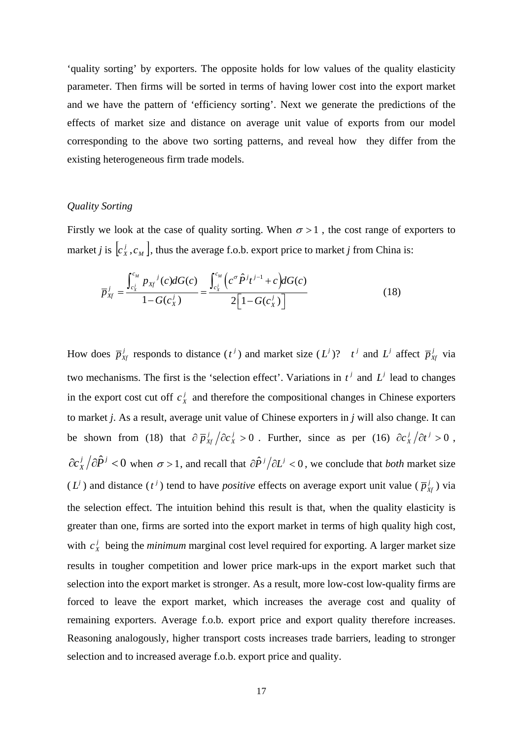'quality sorting' by exporters. The opposite holds for low values of the quality elasticity parameter. Then firms will be sorted in terms of having lower cost into the export market and we have the pattern of 'efficiency sorting'. Next we generate the predictions of the effects of market size and distance on average unit value of exports from our model corresponding to the above two sorting patterns, and reveal how they differ from the existing heterogeneous firm trade models.

#### *Quality Sorting*

Firstly we look at the case of quality sorting. When  $\sigma > 1$ , the cost range of exporters to market *j* is  $\left[ c_x^j, c_y \right]$ , thus the average f.o.b. export price to market *j* from China is:

$$
\overline{p}_{Xf}^{j} = \frac{\int_{c_X^{j}}^{c_M} p_{Xf}^{j}(c)dG(c)}{1 - G(c_X^{j})} = \frac{\int_{c_X^{j}}^{c_M} \left(c^{\sigma} \hat{P}^{j} t^{j-1} + c\right) dG(c)}{2\left[1 - G(c_X^{j})\right]}
$$
(18)

How does  $\overline{p}_{xf}^{j}$  responds to distance  $(t^{j})$  and market size  $(L^{j})$ ?  $t^{j}$  and  $L^{j}$  affect  $\overline{p}_{xf}^{j}$  via two mechanisms. The first is the 'selection effect'. Variations in  $t^j$  and  $L^j$  lead to changes in the export cost cut off  $c_x^j$  and therefore the compositional changes in Chinese exporters to market *j*. As a result, average unit value of Chinese exporters in *j* will also change. It can be shown from (18) that  $\partial \overline{p}_{Xf}^j / \partial c_X^j > 0$ . Further, since as per (16)  $\partial c_X^j / \partial t^j > 0$ ,  $\frac{\partial c_x^j}{\partial P^j}$  < 0 when  $\sigma > 1$ , and recall that  $\frac{\partial \hat{P}^j}{\partial L^j} < 0$ , we conclude that *both* market size  $(L^{j})$  and distance  $(t^{j})$  tend to have *positive* effects on average export unit value  $(\bar{p}_{\text{X}j}^{j})$  via the selection effect. The intuition behind this result is that, when the quality elasticity is greater than one, firms are sorted into the export market in terms of high quality high cost, with  $c_x^j$  being the *minimum* marginal cost level required for exporting. A larger market size results in tougher competition and lower price mark-ups in the export market such that selection into the export market is stronger. As a result, more low-cost low-quality firms are forced to leave the export market, which increases the average cost and quality of remaining exporters. Average f.o.b. export price and export quality therefore increases. Reasoning analogously, higher transport costs increases trade barriers, leading to stronger selection and to increased average f.o.b. export price and quality.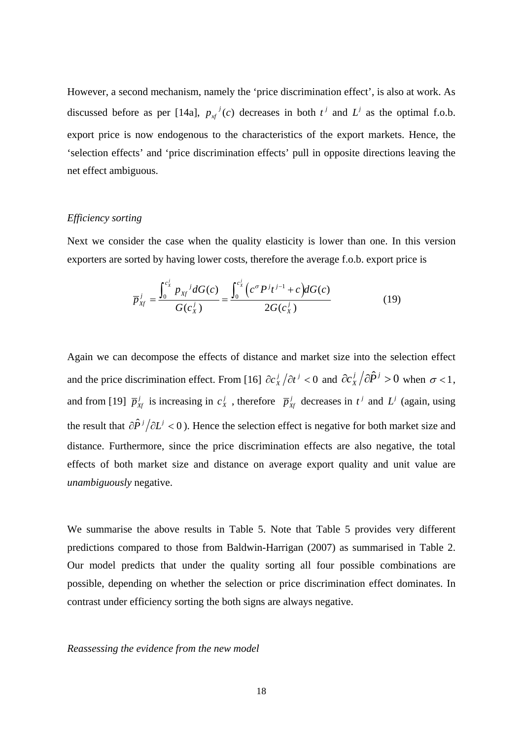However, a second mechanism, namely the 'price discrimination effect', is also at work. As discussed before as per [14a],  $p_{\text{rf}}^i(c)$  decreases in both  $t^i$  and  $L^i$  as the optimal f.o.b. export price is now endogenous to the characteristics of the export markets. Hence, the 'selection effects' and 'price discrimination effects' pull in opposite directions leaving the net effect ambiguous.

#### *Efficiency sorting*

Next we consider the case when the quality elasticity is lower than one. In this version exporters are sorted by having lower costs, therefore the average f.o.b. export price is

$$
\overline{p}_{Xf}^{j} = \frac{\int_{0}^{c_X^{j}} p_{Xf}^{j} dG(c)}{G(c_X^{j})} = \frac{\int_{0}^{c_X^{j}} \left(c^{\sigma} P^{j} t^{j-1} + c\right) dG(c)}{2G(c_X^{j})}
$$
(19)

Again we can decompose the effects of distance and market size into the selection effect and the price discrimination effect. From [16]  $\partial c_x^j / \partial t^j < 0$  and  $\partial c_x^j / \partial \hat{P}^j > 0$  when  $\sigma < 1$ , and from [19]  $\bar{p}_{xf}^j$  is increasing in  $c_x^j$ , therefore  $\bar{p}_{xf}^j$  decreases in  $t^j$  and  $L^j$  (again, using the result that  $\partial \hat{P}^j / \partial L^j < 0$ ). Hence the selection effect is negative for both market size and distance. Furthermore, since the price discrimination effects are also negative, the total effects of both market size and distance on average export quality and unit value are *unambiguously* negative.

We summarise the above results in Table 5. Note that Table 5 provides very different predictions compared to those from Baldwin-Harrigan (2007) as summarised in Table 2. Our model predicts that under the quality sorting all four possible combinations are possible, depending on whether the selection or price discrimination effect dominates. In contrast under efficiency sorting the both signs are always negative.

*Reassessing the evidence from the new model*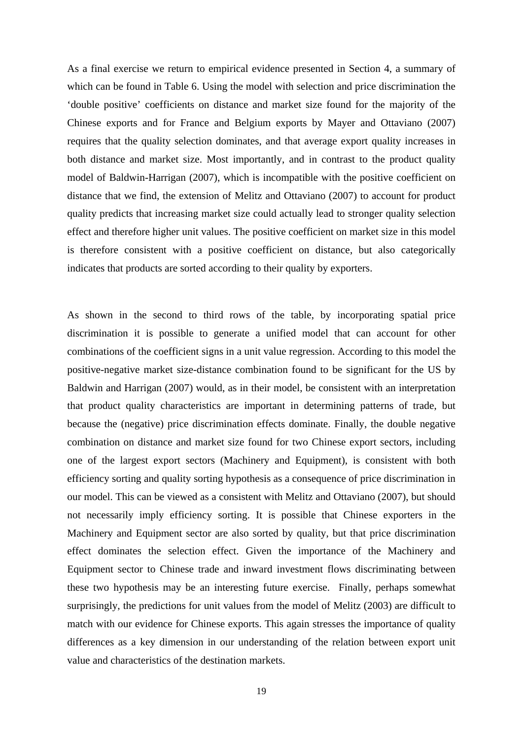As a final exercise we return to empirical evidence presented in Section 4, a summary of which can be found in Table 6. Using the model with selection and price discrimination the 'double positive' coefficients on distance and market size found for the majority of the Chinese exports and for France and Belgium exports by Mayer and Ottaviano (2007) requires that the quality selection dominates, and that average export quality increases in both distance and market size. Most importantly, and in contrast to the product quality model of Baldwin-Harrigan (2007), which is incompatible with the positive coefficient on distance that we find, the extension of Melitz and Ottaviano (2007) to account for product quality predicts that increasing market size could actually lead to stronger quality selection effect and therefore higher unit values. The positive coefficient on market size in this model is therefore consistent with a positive coefficient on distance, but also categorically indicates that products are sorted according to their quality by exporters.

As shown in the second to third rows of the table, by incorporating spatial price discrimination it is possible to generate a unified model that can account for other combinations of the coefficient signs in a unit value regression. According to this model the positive-negative market size-distance combination found to be significant for the US by Baldwin and Harrigan (2007) would, as in their model, be consistent with an interpretation that product quality characteristics are important in determining patterns of trade, but because the (negative) price discrimination effects dominate. Finally, the double negative combination on distance and market size found for two Chinese export sectors, including one of the largest export sectors (Machinery and Equipment), is consistent with both efficiency sorting and quality sorting hypothesis as a consequence of price discrimination in our model. This can be viewed as a consistent with Melitz and Ottaviano (2007), but should not necessarily imply efficiency sorting. It is possible that Chinese exporters in the Machinery and Equipment sector are also sorted by quality, but that price discrimination effect dominates the selection effect. Given the importance of the Machinery and Equipment sector to Chinese trade and inward investment flows discriminating between these two hypothesis may be an interesting future exercise. Finally, perhaps somewhat surprisingly, the predictions for unit values from the model of Melitz (2003) are difficult to match with our evidence for Chinese exports. This again stresses the importance of quality differences as a key dimension in our understanding of the relation between export unit value and characteristics of the destination markets.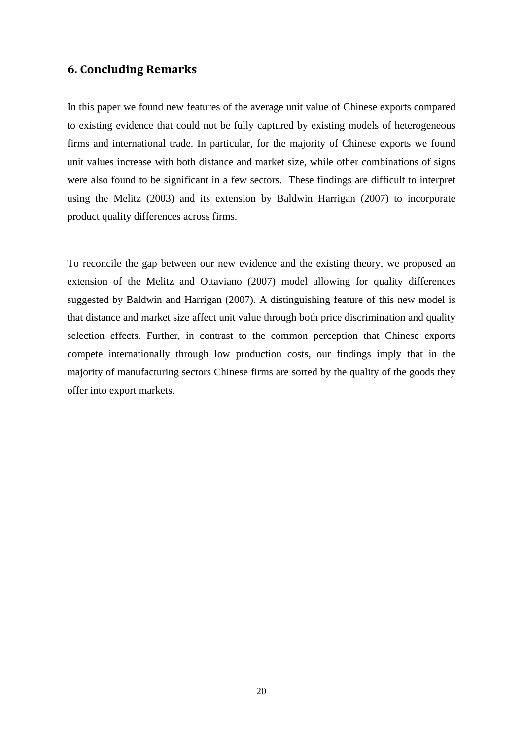#### **6. Concluding Remarks**

In this paper we found new features of the average unit value of Chinese exports compared to existing evidence that could not be fully captured by existing models of heterogeneous firms and international trade. In particular, for the majority of Chinese exports we found unit values increase with both distance and market size, while other combinations of signs were also found to be significant in a few sectors. These findings are difficult to interpret using the Melitz (2003) and its extension by Baldwin Harrigan (2007) to incorporate product quality differences across firms.

To reconcile the gap between our new evidence and the existing theory, we proposed an extension of the Melitz and Ottaviano (2007) model allowing for quality differences suggested by Baldwin and Harrigan (2007). A distinguishing feature of this new model is that distance and market size affect unit value through both price discrimination and quality selection effects. Further, in contrast to the common perception that Chinese exports compete internationally through low production costs, our findings imply that in the majority of manufacturing sectors Chinese firms are sorted by the quality of the goods they offer into export markets.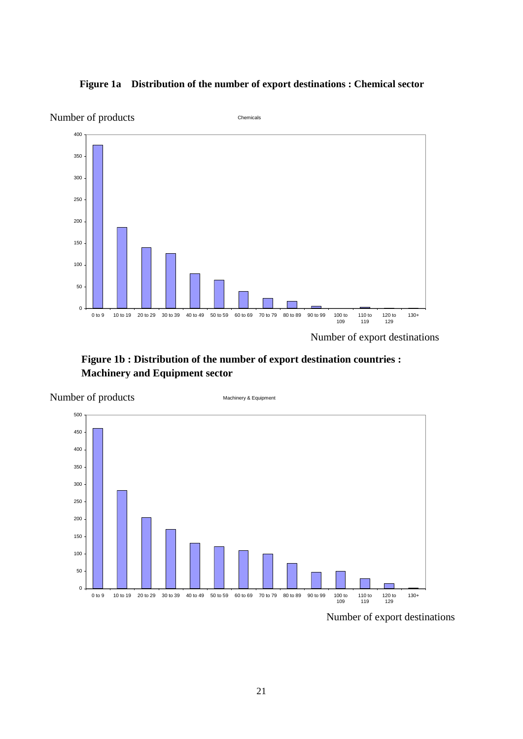#### **Figure 1a Distribution of the number of export destinations : Chemical sector**



Number of products

Chemicals

#### Number of export destinations

## **Figure 1b : Distribution of the number of export destination countries : Machinery and Equipment sector**



Number of export destinations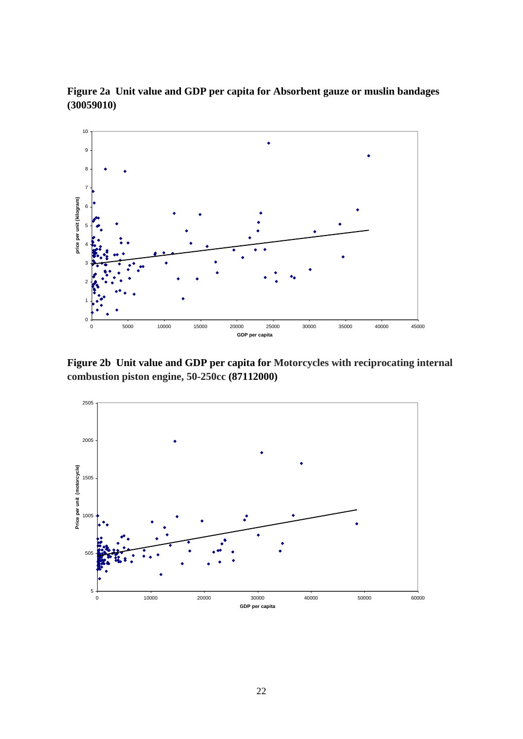

**Figure 2a Unit value and GDP per capita for Absorbent gauze or muslin bandages (30059010)** 

**Figure 2b Unit value and GDP per capita for Motorcycles with reciprocating internal combustion piston engine, 50-250cc (87112000)** 

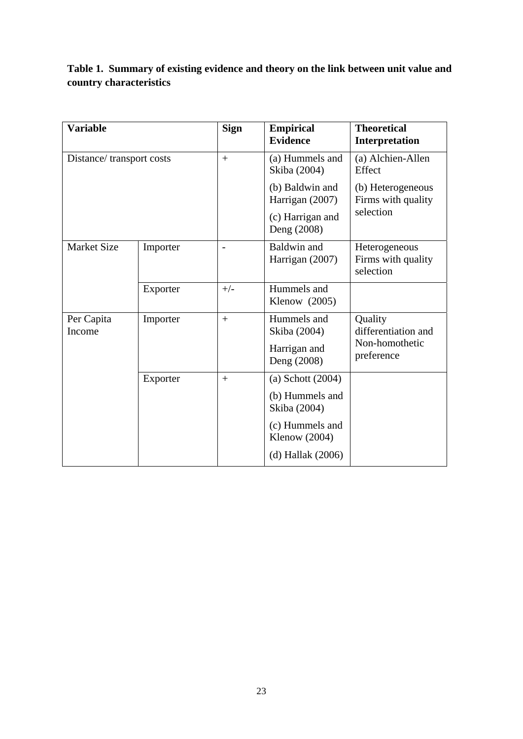## **Table 1. Summary of existing evidence and theory on the link between unit value and country characteristics**

| <b>Variable</b>          |          | <b>Sign</b> | <b>Empirical</b><br><b>Evidence</b>                                                                                     | <b>Theoretical</b><br>Interpretation                           |  |
|--------------------------|----------|-------------|-------------------------------------------------------------------------------------------------------------------------|----------------------------------------------------------------|--|
| Distance/transport costs |          | $+$         | (a) Hummels and<br>Skiba (2004)                                                                                         | (a) Alchien-Allen<br>Effect                                    |  |
|                          |          |             | (b) Baldwin and<br>Harrigan (2007)                                                                                      | (b) Heterogeneous<br>Firms with quality                        |  |
|                          |          |             | (c) Harrigan and<br>Deng (2008)                                                                                         | selection                                                      |  |
| <b>Market Size</b>       | Importer |             | Baldwin and<br>Harrigan (2007)                                                                                          | Heterogeneous<br>Firms with quality<br>selection               |  |
|                          | Exporter | $+/-$       | Hummels and<br>Klenow $(2005)$                                                                                          |                                                                |  |
| Per Capita<br>Income     | Importer | $+$         | Hummels and<br>Skiba (2004)<br>Harrigan and<br>Deng (2008)                                                              | Quality<br>differentiation and<br>Non-homothetic<br>preference |  |
|                          | Exporter | $+$         | $(a)$ Schott $(2004)$<br>(b) Hummels and<br>Skiba (2004)<br>(c) Hummels and<br>Klenow $(2004)$<br>$(d)$ Hallak $(2006)$ |                                                                |  |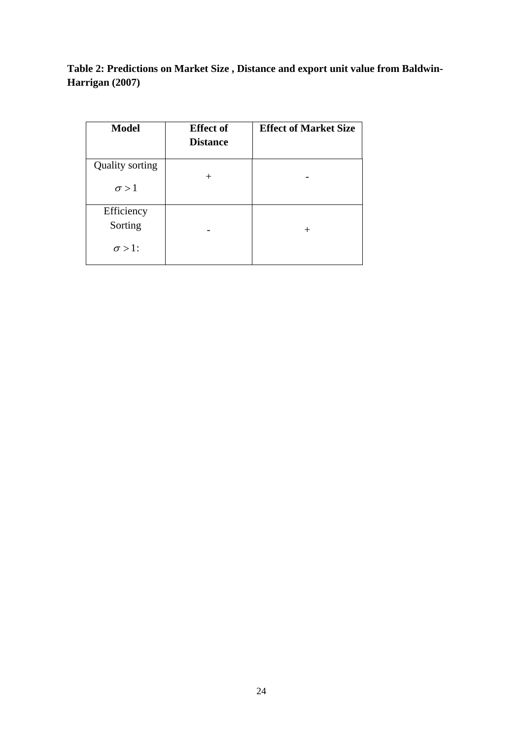**Table 2: Predictions on Market Size , Distance and export unit value from Baldwin-Harrigan (2007)** 

| <b>Model</b>           | <b>Effect of</b><br><b>Distance</b> | <b>Effect of Market Size</b> |
|------------------------|-------------------------------------|------------------------------|
| <b>Quality sorting</b> |                                     |                              |
| $\sigma > 1$           |                                     |                              |
| Efficiency             |                                     |                              |
| Sorting                |                                     | $^+$                         |
| $\sigma > 1$ :         |                                     |                              |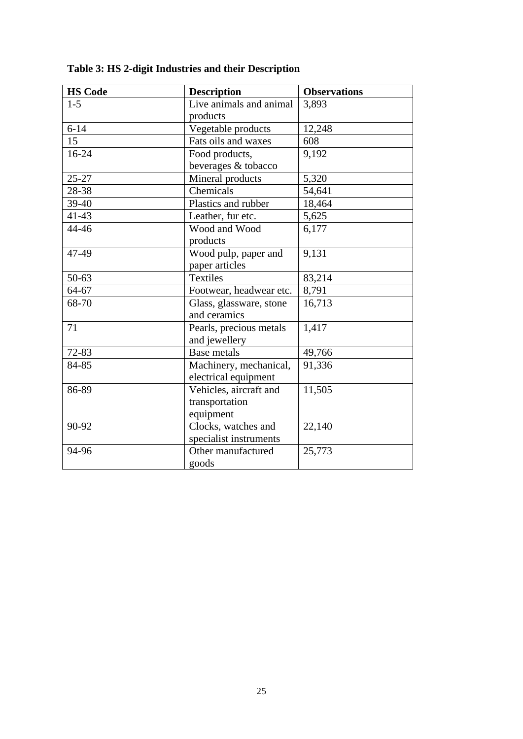| <b>HS Code</b> | <b>Description</b>      | <b>Observations</b> |
|----------------|-------------------------|---------------------|
| $1 - 5$        | Live animals and animal | 3,893               |
|                | products                |                     |
| $6 - 14$       | Vegetable products      | 12,248              |
| 15             | Fats oils and waxes     | 608                 |
| $16 - 24$      | Food products,          | 9,192               |
|                | beverages & tobacco     |                     |
| $25 - 27$      | Mineral products        | 5,320               |
| 28-38          | Chemicals               | 54,641              |
| 39-40          | Plastics and rubber     | 18,464              |
| $41 - 43$      | Leather, fur etc.       | 5,625               |
| 44-46          | Wood and Wood           | 6,177               |
|                | products                |                     |
| 47-49          | Wood pulp, paper and    | 9,131               |
|                | paper articles          |                     |
| 50-63          | Textiles                | 83,214              |
| 64-67          | Footwear, headwear etc. | 8,791               |
| 68-70          | Glass, glassware, stone | 16,713              |
|                | and ceramics            |                     |
| 71             | Pearls, precious metals | 1,417               |
|                | and jewellery           |                     |
| $72 - 83$      | <b>Base metals</b>      | 49,766              |
| 84-85          | Machinery, mechanical,  | 91,336              |
|                | electrical equipment    |                     |
| 86-89          | Vehicles, aircraft and  | 11,505              |
|                | transportation          |                     |
|                | equipment               |                     |
| 90-92          | Clocks, watches and     | 22,140              |
|                | specialist instruments  |                     |
| 94-96          | Other manufactured      | 25,773              |
|                | goods                   |                     |

**Table 3: HS 2-digit Industries and their Description**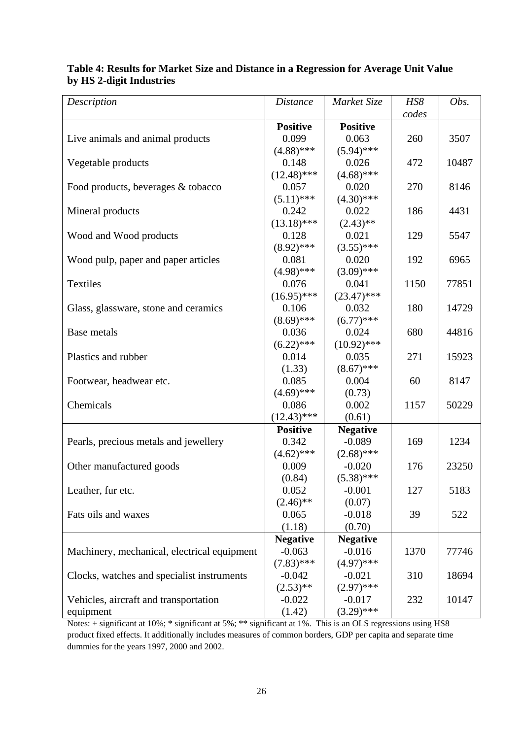| Description                                 | <b>Distance</b> | Market Size     | HS8   | Obs.  |
|---------------------------------------------|-----------------|-----------------|-------|-------|
|                                             |                 |                 | codes |       |
|                                             | <b>Positive</b> | <b>Positive</b> |       |       |
| Live animals and animal products            | 0.099           | 0.063           | 260   | 3507  |
|                                             | $(4.88)$ ***    | $(5.94)$ ***    |       |       |
| Vegetable products                          | 0.148           | 0.026           | 472   | 10487 |
|                                             | $(12.48)$ ***   | $(4.68)$ ***    |       |       |
| Food products, beverages & tobacco          | 0.057           | 0.020           | 270   | 8146  |
|                                             | $(5.11)$ ***    | $(4.30)$ ***    |       |       |
| Mineral products                            | 0.242           | 0.022           | 186   | 4431  |
|                                             | $(13.18)$ ***   | $(2.43)$ **     |       |       |
| Wood and Wood products                      | 0.128           | 0.021           | 129   | 5547  |
|                                             | $(8.92)$ ***    | $(3.55)$ ***    |       |       |
| Wood pulp, paper and paper articles         | 0.081           | 0.020           | 192   | 6965  |
|                                             | $(4.98)$ ***    | $(3.09)$ ***    |       |       |
| <b>Textiles</b>                             | 0.076           | 0.041           | 1150  | 77851 |
|                                             | $(16.95)$ ***   | $(23.47)$ ***   |       |       |
| Glass, glassware, stone and ceramics        | 0.106           | 0.032           | 180   | 14729 |
|                                             | $(8.69)$ ***    | $(6.77)$ ***    |       |       |
| Base metals                                 | 0.036           | 0.024           | 680   | 44816 |
|                                             | $(6.22)$ ***    | $(10.92)$ ***   |       |       |
| Plastics and rubber                         | 0.014           | 0.035           | 271   | 15923 |
|                                             | (1.33)          | $(8.67)$ ***    |       |       |
| Footwear, headwear etc.                     | 0.085           | 0.004           | 60    | 8147  |
|                                             | $(4.69)$ ***    | (0.73)          |       |       |
| Chemicals                                   | 0.086           | 0.002           | 1157  | 50229 |
|                                             | $(12.43)$ ***   | (0.61)          |       |       |
|                                             | <b>Positive</b> | <b>Negative</b> |       |       |
| Pearls, precious metals and jewellery       | 0.342           | $-0.089$        | 169   | 1234  |
|                                             | $(4.62)$ ***    | $(2.68)$ ***    |       |       |
| Other manufactured goods                    | 0.009           | $-0.020$        | 176   | 23250 |
|                                             | (0.84)          | $(5.38)$ ***    |       |       |
| Leather, fur etc.                           | 0.052           | $-0.001$        | 127   | 5183  |
|                                             | $(2.46)$ **     | (0.07)          |       |       |
| Fats oils and waxes                         | 0.065           | $-0.018$        | 39    | 522   |
|                                             | (1.18)          | (0.70)          |       |       |
|                                             | <b>Negative</b> | <b>Negative</b> |       |       |
| Machinery, mechanical, electrical equipment | $-0.063$        | $-0.016$        | 1370  | 77746 |
|                                             | $(7.83)$ ***    | $(4.97)$ ***    |       |       |
| Clocks, watches and specialist instruments  | $-0.042$        | $-0.021$        | 310   | 18694 |
|                                             | $(2.53)$ **     | $(2.97)$ ***    |       |       |
| Vehicles, aircraft and transportation       | $-0.022$        | $-0.017$        | 232   | 10147 |
| equipment                                   | (1.42)          | $(3.29)$ ***    |       |       |

## **Table 4: Results for Market Size and Distance in a Regression for Average Unit Value by HS 2-digit Industries**

Notes: + significant at 10%; \* significant at 5%; \*\* significant at 1%. This is an OLS regressions using HS8 product fixed effects. It additionally includes measures of common borders, GDP per capita and separate time dummies for the years 1997, 2000 and 2002.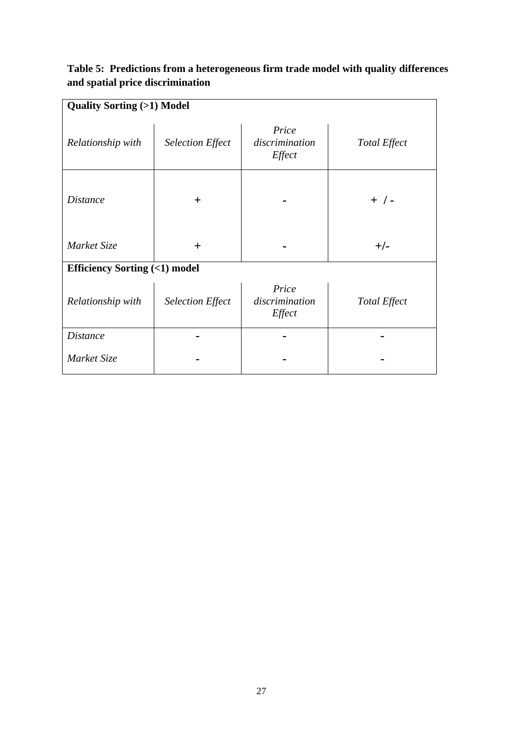## **Table 5: Predictions from a heterogeneous firm trade model with quality differences and spatial price discrimination**

| <b>Quality Sorting (&gt;1) Model</b>    |                         |                                   |                     |  |  |  |
|-----------------------------------------|-------------------------|-----------------------------------|---------------------|--|--|--|
| Relationship with                       | <b>Selection Effect</b> | Price<br>discrimination<br>Effect | Total Effect        |  |  |  |
| <i>Distance</i>                         | $\pm$                   |                                   | $+$ / -             |  |  |  |
| Market Size                             | $+$                     |                                   | $+/-$               |  |  |  |
| <b>Efficiency Sorting (&lt;1) model</b> |                         |                                   |                     |  |  |  |
| Relationship with                       | <b>Selection Effect</b> | Price<br>discrimination<br>Effect | <b>Total Effect</b> |  |  |  |
| <i>Distance</i>                         |                         |                                   |                     |  |  |  |
| Market Size                             |                         |                                   |                     |  |  |  |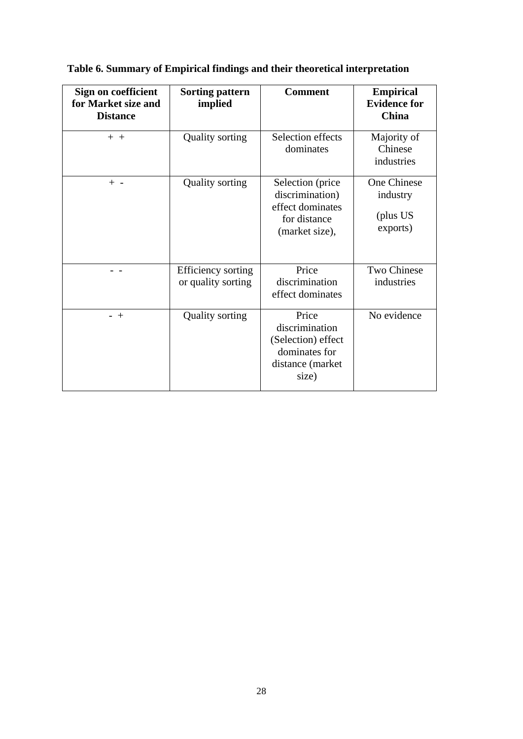| Sign on coefficient<br>for Market size and<br><b>Distance</b> | <b>Sorting pattern</b><br>implied        | <b>Comment</b>                                                                               | <b>Empirical</b><br><b>Evidence for</b><br>China       |
|---------------------------------------------------------------|------------------------------------------|----------------------------------------------------------------------------------------------|--------------------------------------------------------|
| $+$ +                                                         | <b>Quality sorting</b>                   | Selection effects<br>dominates                                                               | Majority of<br>Chinese<br>industries                   |
| $+ -$                                                         | <b>Quality sorting</b>                   | Selection (price)<br>discrimination)<br>effect dominates<br>for distance<br>(market size),   | <b>One Chinese</b><br>industry<br>(plus US<br>exports) |
|                                                               | Efficiency sorting<br>or quality sorting | Price<br>discrimination<br>effect dominates                                                  | <b>Two Chinese</b><br>industries                       |
| $- +$                                                         | <b>Quality sorting</b>                   | Price<br>discrimination<br>(Selection) effect<br>dominates for<br>distance (market)<br>size) | No evidence                                            |

**Table 6. Summary of Empirical findings and their theoretical interpretation**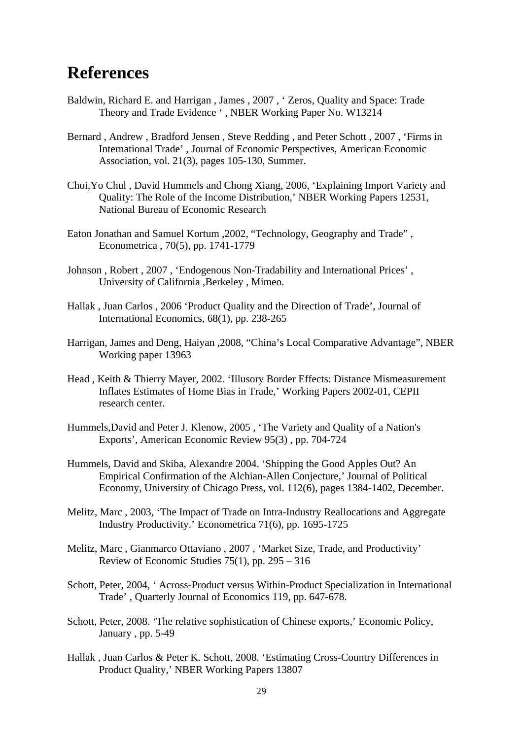## **References**

- Baldwin, Richard E. and Harrigan , James , 2007 , ' Zeros, Quality and Space: Trade Theory and Trade Evidence ' , NBER Working Paper No. W13214
- Bernard , Andrew , Bradford Jensen , Steve Redding , and Peter Schott , 2007 , 'Firms in International Trade' , Journal of Economic Perspectives, American Economic Association, vol. 21(3), pages 105-130, Summer.
- Choi,Yo Chul , David Hummels and Chong Xiang, 2006, '[Explaining Import Variety and](http://ideas.repec.org/p/nbr/nberwo/12531.html)  [Quality: The Role of the Income Distribution,](http://ideas.repec.org/p/nbr/nberwo/12531.html)' [NBER Working Papers](http://ideas.repec.org/s/nbr/nberwo.html) 12531, National Bureau of Economic Research
- Eaton Jonathan and Samuel Kortum ,2002, "Technology, Geography and Trade" , Econometrica , 70(5), pp. 1741-1779
- Johnson , Robert , 2007 , 'Endogenous Non-Tradability and International Prices' , University of California ,Berkeley , Mimeo.
- Hallak , Juan Carlos , 2006 'Product Quality and the Direction of Trade', Journal of International Economics, 68(1), pp. 238-265
- Harrigan, James and Deng, Haiyan ,2008, "China's Local Comparative Advantage", NBER Working paper 13963
- Head , Keith & Thierry Mayer, 2002. 'Illusory Border Effects: Distance Mismeasurement Inflates Estimates of Home Bias in Trade,' Working Papers 2002-01, CEPII research center.
- Hummels,David and Peter J. Klenow, 2005 , 'The Variety and Quality of a Nation's Exports', American Economic Review 95(3) , pp. 704-724
- Hummels, David and Skiba, Alexandre 2004. 'Shipping the Good Apples Out? An Empirical Confirmation of the Alchian-Allen Conjecture,' [Journal of Political](http://ideas.repec.org/s/ucp/jpolec.html)  [Economy](http://ideas.repec.org/s/ucp/jpolec.html), University of Chicago Press, vol. 112(6), pages 1384-1402, December.
- Melitz, Marc , 2003, 'The Impact of Trade on Intra-Industry Reallocations and Aggregate Industry Productivity.' Econometrica 71(6), pp. 1695-1725
- Melitz, Marc , Gianmarco Ottaviano , 2007 , 'Market Size, Trade, and Productivity' Review of Economic Studies 75(1), pp. 295 – 316
- Schott, Peter, 2004, ' Across-Product versus Within-Product Specialization in International Trade' , Quarterly Journal of Economics 119, pp. 647-678.
- Schott, Peter, 2008. 'The relative sophistication of Chinese exports,' Economic Policy, January , pp. 5-49
- Hallak , Juan Carlos & Peter K. Schott, 2008. 'Estimating Cross-Country Differences in Product Quality,' NBER Working Papers 13807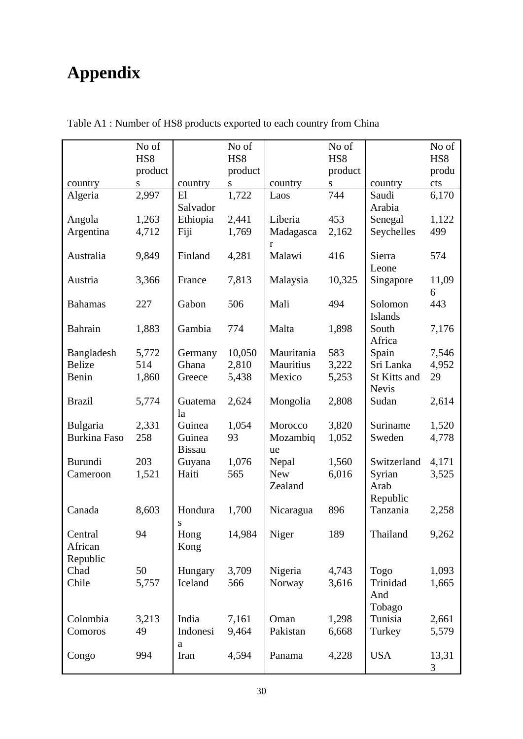## **Appendix**

|                     | No of                      |               | No of                      |            | No of                |              | No of           |
|---------------------|----------------------------|---------------|----------------------------|------------|----------------------|--------------|-----------------|
|                     | HS <sub>8</sub><br>product |               | HS <sub>8</sub><br>product |            | HS8                  |              | HS <sub>8</sub> |
| country             | ${\bf S}$                  | country       | ${\bf S}$                  | country    | product<br>${\bf S}$ | country      | produ<br>cts    |
| Algeria             | 2,997                      | E1            | 1,722                      | Laos       | 744                  | Saudi        | 6,170           |
|                     |                            | Salvador      |                            |            |                      | Arabia       |                 |
| Angola              | 1,263                      | Ethiopia      | 2,441                      | Liberia    | 453                  | Senegal      | 1,122           |
| Argentina           | 4,712                      | Fiji          | 1,769                      | Madagasca  | 2,162                | Seychelles   | 499             |
|                     |                            |               |                            | r          |                      |              |                 |
| Australia           | 9,849                      | Finland       | 4,281                      | Malawi     | 416                  | Sierra       | 574             |
|                     |                            |               |                            |            |                      | Leone        |                 |
| Austria             | 3,366                      | France        | 7,813                      | Malaysia   | 10,325               | Singapore    | 11,09<br>6      |
| <b>Bahamas</b>      | 227                        | Gabon         | 506                        | Mali       | 494                  | Solomon      | 443             |
|                     |                            |               |                            |            |                      | Islands      |                 |
| <b>Bahrain</b>      | 1,883                      | Gambia        | 774                        | Malta      | 1,898                | South        | 7,176           |
|                     |                            |               |                            |            |                      | Africa       |                 |
| Bangladesh          | 5,772                      | Germany       | 10,050                     | Mauritania | 583                  | Spain        | 7,546           |
| <b>Belize</b>       | 514                        | Ghana         | 2,810                      | Mauritius  | 3,222                | Sri Lanka    | 4,952           |
| Benin               | 1,860                      | Greece        | 5,438                      | Mexico     | 5,253                | St Kitts and | 29              |
|                     |                            |               |                            |            |                      | <b>Nevis</b> |                 |
| <b>Brazil</b>       | 5,774                      | Guatema       | 2,624                      | Mongolia   | 2,808                | Sudan        | 2,614           |
| Bulgaria            | 2,331                      | la<br>Guinea  | 1,054                      | Morocco    | 3,820                | Suriname     | 1,520           |
| <b>Burkina Faso</b> | 258                        | Guinea        | 93                         | Mozambiq   | 1,052                | Sweden       | 4,778           |
|                     |                            | <b>Bissau</b> |                            | ue         |                      |              |                 |
| <b>Burundi</b>      | 203                        | Guyana        | 1,076                      | Nepal      | 1,560                | Switzerland  | 4,171           |
| Cameroon            | 1,521                      | Haiti         | 565                        | <b>New</b> | 6,016                | Syrian       | 3,525           |
|                     |                            |               |                            | Zealand    |                      | Arab         |                 |
|                     |                            |               |                            |            |                      | Republic     |                 |
| Canada              | 8,603                      | Hondura       | 1,700                      | Nicaragua  | 896                  | Tanzania     | 2,258           |
| Central             | 94                         | S<br>Hong     | 14,984                     | Niger      | 189                  | Thailand     | 9,262           |
| African             |                            | Kong          |                            |            |                      |              |                 |
| Republic            |                            |               |                            |            |                      |              |                 |
| Chad                | 50                         | Hungary       | 3,709                      | Nigeria    | 4,743                | Togo         | 1,093           |
| Chile               | 5,757                      | Iceland       | 566                        | Norway     | 3,616                | Trinidad     | 1,665           |
|                     |                            |               |                            |            |                      | And          |                 |
|                     |                            |               |                            |            |                      | Tobago       |                 |
| Colombia            | 3,213                      | India         | 7,161                      | Oman       | 1,298                | Tunisia      | 2,661           |
| Comoros             | 49                         | Indonesi      | 9,464                      | Pakistan   | 6,668                | Turkey       | 5,579           |
|                     |                            | $\rm{a}$      |                            |            |                      |              |                 |
| Congo               | 994                        | Iran          | 4,594                      | Panama     | 4,228                | <b>USA</b>   | 13,31<br>3      |

Table A1 : Number of HS8 products exported to each country from China